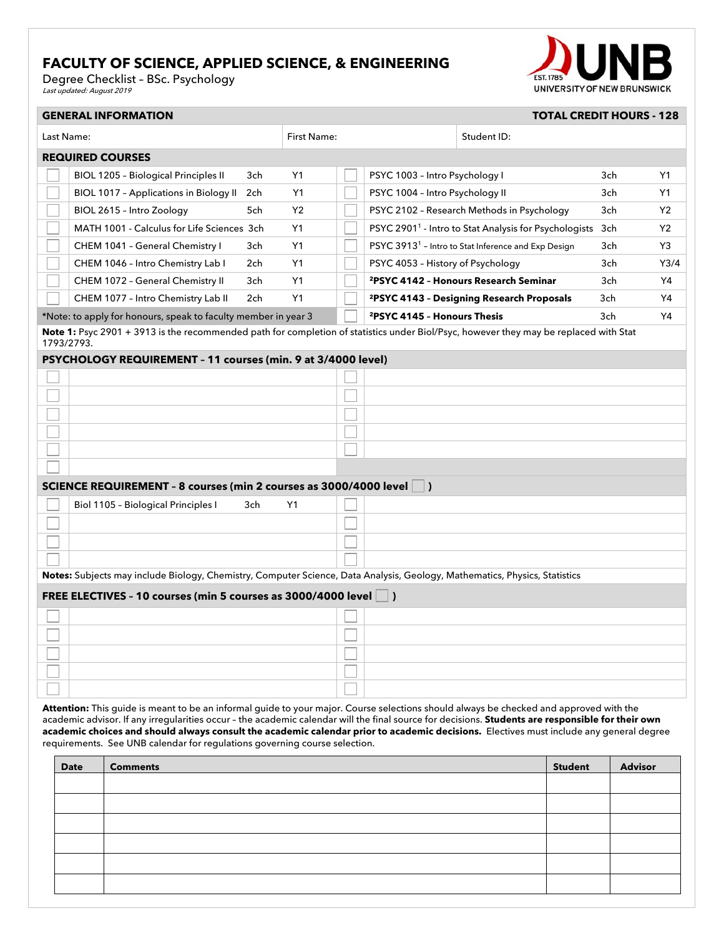## **FACULTY OF SCIENCE, APPLIED SCIENCE, & ENGINEERING**

Degree Checklist – BSc. Psychology<br>*Last updated: August 2019* 



| <b>GENERAL INFORMATION</b><br><b>TOTAL CREDIT HOURS - 128</b>                                                                         |                                                                                                                            |     |                |  |                                                                   |                                                       |     |                |  |  |
|---------------------------------------------------------------------------------------------------------------------------------------|----------------------------------------------------------------------------------------------------------------------------|-----|----------------|--|-------------------------------------------------------------------|-------------------------------------------------------|-----|----------------|--|--|
| Last Name:                                                                                                                            |                                                                                                                            |     | First Name:    |  |                                                                   | Student ID:                                           |     |                |  |  |
| <b>REQUIRED COURSES</b>                                                                                                               |                                                                                                                            |     |                |  |                                                                   |                                                       |     |                |  |  |
|                                                                                                                                       | <b>BIOL 1205 - Biological Principles II</b>                                                                                | 3ch | Y1             |  | PSYC 1003 - Intro Psychology I                                    |                                                       | 3ch | Y1             |  |  |
|                                                                                                                                       | <b>BIOL 1017 - Applications in Biology II</b>                                                                              | 2ch | Y1             |  | PSYC 1004 - Intro Psychology II                                   |                                                       | 3ch | Y1             |  |  |
|                                                                                                                                       | BIOL 2615 - Intro Zoology                                                                                                  | 5ch | Y <sub>2</sub> |  |                                                                   | PSYC 2102 - Research Methods in Psychology            | 3ch | Y <sub>2</sub> |  |  |
|                                                                                                                                       | MATH 1001 - Calculus for Life Sciences 3ch                                                                                 |     | Y1             |  | PSYC 2901 <sup>1</sup> - Intro to Stat Analysis for Psychologists |                                                       | 3ch | <b>Y2</b>      |  |  |
|                                                                                                                                       | CHEM 1041 - General Chemistry I                                                                                            | 3ch | Y1             |  | PSYC 3913 <sup>1</sup> - Intro to Stat Inference and Exp Design   |                                                       | 3ch | Y3             |  |  |
|                                                                                                                                       | CHEM 1046 - Intro Chemistry Lab I                                                                                          | 2ch | Y1             |  | PSYC 4053 - History of Psychology                                 |                                                       | 3ch | Y3/4           |  |  |
|                                                                                                                                       | CHEM 1072 - General Chemistry II                                                                                           | 3ch | Y1             |  |                                                                   | <sup>2</sup> PSYC 4142 - Honours Research Seminar     | 3ch | Y4             |  |  |
|                                                                                                                                       | CHEM 1077 - Intro Chemistry Lab II                                                                                         | 2ch | Y1             |  |                                                                   | <sup>2</sup> PSYC 4143 - Designing Research Proposals | 3ch | Y4             |  |  |
|                                                                                                                                       | *Note: to apply for honours, speak to faculty member in year 3                                                             |     |                |  | <sup>2</sup> PSYC 4145 - Honours Thesis                           |                                                       | 3ch | Y4             |  |  |
| Note 1: Psyc 2901 + 3913 is the recommended path for completion of statistics under Biol/Psyc, however they may be replaced with Stat |                                                                                                                            |     |                |  |                                                                   |                                                       |     |                |  |  |
| 1793/2793.<br>PSYCHOLOGY REQUIREMENT - 11 courses (min. 9 at 3/4000 level)                                                            |                                                                                                                            |     |                |  |                                                                   |                                                       |     |                |  |  |
|                                                                                                                                       |                                                                                                                            |     |                |  |                                                                   |                                                       |     |                |  |  |
|                                                                                                                                       |                                                                                                                            |     |                |  |                                                                   |                                                       |     |                |  |  |
|                                                                                                                                       |                                                                                                                            |     |                |  |                                                                   |                                                       |     |                |  |  |
|                                                                                                                                       |                                                                                                                            |     |                |  |                                                                   |                                                       |     |                |  |  |
|                                                                                                                                       |                                                                                                                            |     |                |  |                                                                   |                                                       |     |                |  |  |
|                                                                                                                                       |                                                                                                                            |     |                |  |                                                                   |                                                       |     |                |  |  |
|                                                                                                                                       |                                                                                                                            |     |                |  |                                                                   |                                                       |     |                |  |  |
|                                                                                                                                       | SCIENCE REQUIREMENT - 8 courses (min 2 courses as 3000/4000 level                                                          |     |                |  | $\vert$ )                                                         |                                                       |     |                |  |  |
|                                                                                                                                       | Biol 1105 - Biological Principles I                                                                                        | 3ch | Y1             |  |                                                                   |                                                       |     |                |  |  |
|                                                                                                                                       |                                                                                                                            |     |                |  |                                                                   |                                                       |     |                |  |  |
|                                                                                                                                       |                                                                                                                            |     |                |  |                                                                   |                                                       |     |                |  |  |
|                                                                                                                                       |                                                                                                                            |     |                |  |                                                                   |                                                       |     |                |  |  |
|                                                                                                                                       | Notes: Subjects may include Biology, Chemistry, Computer Science, Data Analysis, Geology, Mathematics, Physics, Statistics |     |                |  |                                                                   |                                                       |     |                |  |  |
| FREE ELECTIVES - 10 courses (min 5 courses as 3000/4000 level   )                                                                     |                                                                                                                            |     |                |  |                                                                   |                                                       |     |                |  |  |
|                                                                                                                                       |                                                                                                                            |     |                |  |                                                                   |                                                       |     |                |  |  |
|                                                                                                                                       |                                                                                                                            |     |                |  |                                                                   |                                                       |     |                |  |  |
|                                                                                                                                       |                                                                                                                            |     |                |  |                                                                   |                                                       |     |                |  |  |
|                                                                                                                                       |                                                                                                                            |     |                |  |                                                                   |                                                       |     |                |  |  |
|                                                                                                                                       |                                                                                                                            |     |                |  |                                                                   |                                                       |     |                |  |  |
|                                                                                                                                       |                                                                                                                            |     |                |  |                                                                   |                                                       |     |                |  |  |

**Attention:** This guide is meant to be an informal guide to your major. Course selections should always be checked and approved with the academic advisor. If any irregularities occur – the academic calendar will the final source for decisions. **Students are responsible for their own academic choices and should always consult the academic calendar prior to academic decisions.** Electives must include any general degree requirements. See UNB calendar for regulations governing course selection.

| <b>Date</b> | <b>Comments</b> | <b>Student</b> | <b>Advisor</b> |
|-------------|-----------------|----------------|----------------|
|             |                 |                |                |
|             |                 |                |                |
|             |                 |                |                |
|             |                 |                |                |
|             |                 |                |                |
|             |                 |                |                |